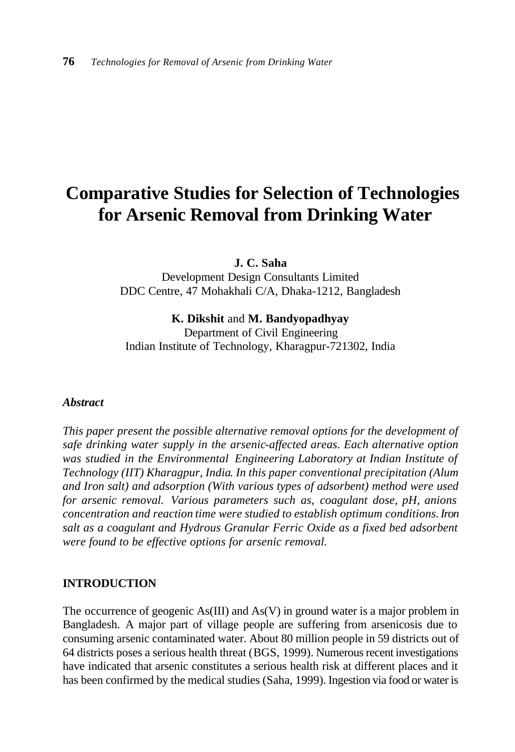# **Comparative Studies for Selection of Technologies for Arsenic Removal from Drinking Water**

**J. C. Saha**

Development Design Consultants Limited DDC Centre, 47 Mohakhali C/A, Dhaka-1212, Bangladesh

**K. Dikshit** and **M. Bandyopadhyay**

Department of Civil Engineering Indian Institute of Technology, Kharagpur-721302, India

## *Abstract*

*This paper present the possible alternative removal options for the development of safe drinking water supply in the arsenic-affected areas. Each alternative option was studied in the Environmental Engineering Laboratory at Indian Institute of Technology (IIT) Kharagpur, India. In this paper conventional precipitation (Alum and Iron salt) and adsorption (With various types of adsorbent) method were used for arsenic removal. Various parameters such as, coagulant dose, pH, anions concentration and reaction time were studied to establish optimum conditions. Iron salt as a coagulant and Hydrous Granular Ferric Oxide as a fixed bed adsorbent were found to be effective options for arsenic removal.* 

## **INTRODUCTION**

The occurrence of geogenic As(III) and As(V) in ground water is a major problem in Bangladesh. A major part of village people are suffering from arsenicosis due to consuming arsenic contaminated water. About 80 million people in 59 districts out of 64 districts poses a serious health threat (BGS, 1999). Numerous recent investigations have indicated that arsenic constitutes a serious health risk at different places and it has been confirmed by the medical studies (Saha, 1999). Ingestion via food or water is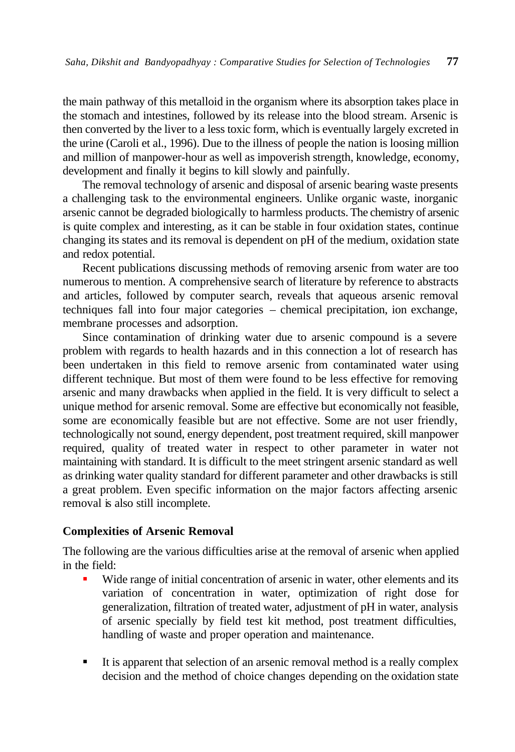the main pathway of this metalloid in the organism where its absorption takes place in the stomach and intestines, followed by its release into the blood stream. Arsenic is then converted by the liver to a less toxic form, which is eventually largely excreted in the urine (Caroli et al., 1996). Due to the illness of people the nation is loosing million and million of manpower-hour as well as impoverish strength, knowledge, economy, development and finally it begins to kill slowly and painfully.

The removal technology of arsenic and disposal of arsenic bearing waste presents a challenging task to the environmental engineers. Unlike organic waste, inorganic arsenic cannot be degraded biologically to harmless products. The chemistry of arsenic is quite complex and interesting, as it can be stable in four oxidation states, continue changing its states and its removal is dependent on pH of the medium, oxidation state and redox potential.

Recent publications discussing methods of removing arsenic from water are too numerous to mention. A comprehensive search of literature by reference to abstracts and articles, followed by computer search, reveals that aqueous arsenic removal techniques fall into four major categories – chemical precipitation, ion exchange, membrane processes and adsorption.

Since contamination of drinking water due to arsenic compound is a severe problem with regards to health hazards and in this connection a lot of research has been undertaken in this field to remove arsenic from contaminated water using different technique. But most of them were found to be less effective for removing arsenic and many drawbacks when applied in the field. It is very difficult to select a unique method for arsenic removal. Some are effective but economically not feasible, some are economically feasible but are not effective. Some are not user friendly, technologically not sound, energy dependent, post treatment required, skill manpower required, quality of treated water in respect to other parameter in water not maintaining with standard. It is difficult to the meet stringent arsenic standard as well as drinking water quality standard for different parameter and other drawbacks is still a great problem. Even specific information on the major factors affecting arsenic removal is also still incomplete.

## **Complexities of Arsenic Removal**

The following are the various difficulties arise at the removal of arsenic when applied in the field:

- Wide range of initial concentration of arsenic in water, other elements and its variation of concentration in water, optimization of right dose for generalization, filtration of treated water, adjustment of pH in water, analysis of arsenic specially by field test kit method, post treatment difficulties, handling of waste and proper operation and maintenance.
- It is apparent that selection of an arsenic removal method is a really complex decision and the method of choice changes depending on the oxidation state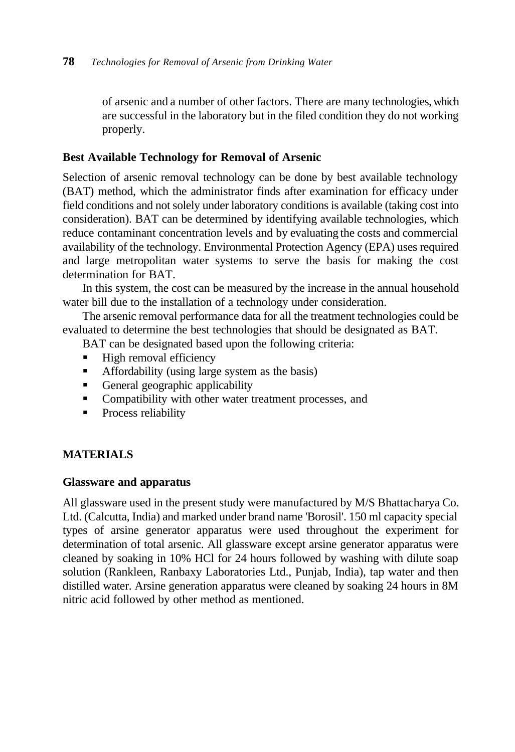of arsenic and a number of other factors. There are many technologies, which are successful in the laboratory but in the filed condition they do not working properly.

# **Best Available Technology for Removal of Arsenic**

Selection of arsenic removal technology can be done by best available technology (BAT) method, which the administrator finds after examination for efficacy under field conditions and not solely under laboratory conditions is available (taking cost into consideration). BAT can be determined by identifying available technologies, which reduce contaminant concentration levels and by evaluating the costs and commercial availability of the technology. Environmental Protection Agency (EPA) uses required and large metropolitan water systems to serve the basis for making the cost determination for BAT.

In this system, the cost can be measured by the increase in the annual household water bill due to the installation of a technology under consideration.

The arsenic removal performance data for all the treatment technologies could be evaluated to determine the best technologies that should be designated as BAT.

BAT can be designated based upon the following criteria:

- $\blacksquare$  High removal efficiency
- **•** Affordability (using large system as the basis)
- General geographic applicability
- Compatibility with other water treatment processes, and
- **•** Process reliability

# **MATERIALS**

## **Glassware and apparatus**

All glassware used in the present study were manufactured by M/S Bhattacharya Co. Ltd. (Calcutta, India) and marked under brand name 'Borosil'. 150 ml capacity special types of arsine generator apparatus were used throughout the experiment for determination of total arsenic. All glassware except arsine generator apparatus were cleaned by soaking in 10% HCl for 24 hours followed by washing with dilute soap solution (Rankleen, Ranbaxy Laboratories Ltd., Punjab, India), tap water and then distilled water. Arsine generation apparatus were cleaned by soaking 24 hours in 8M nitric acid followed by other method as mentioned.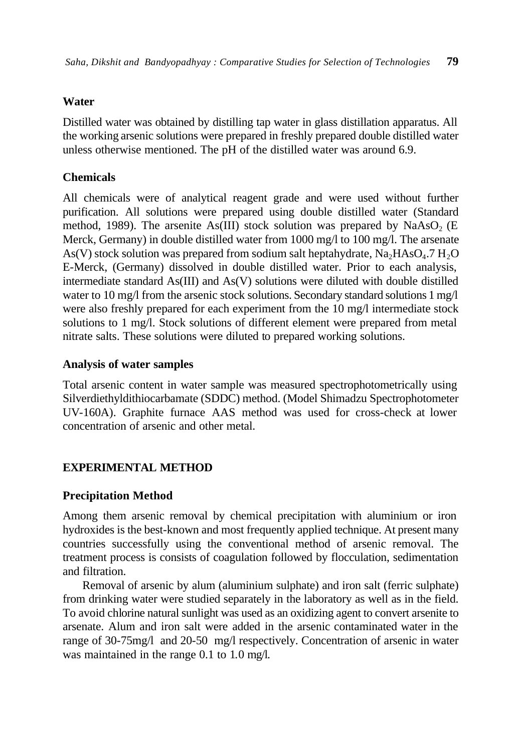## **Water**

Distilled water was obtained by distilling tap water in glass distillation apparatus. All the working arsenic solutions were prepared in freshly prepared double distilled water unless otherwise mentioned. The pH of the distilled water was around 6.9.

## **Chemicals**

All chemicals were of analytical reagent grade and were used without further purification. All solutions were prepared using double distilled water (Standard method, 1989). The arsenite As(III) stock solution was prepared by  $NaAsO<sub>2</sub>$  (E Merck, Germany) in double distilled water from 1000 mg/l to 100 mg/l. The arsenate As(V) stock solution was prepared from sodium salt heptahydrate,  $\text{Na}_2\text{HAsO}_4$ .7  $\text{H}_2\text{O}$ E-Merck, (Germany) dissolved in double distilled water. Prior to each analysis, intermediate standard As(III) and As(V) solutions were diluted with double distilled water to 10 mg/l from the arsenic stock solutions. Secondary standard solutions 1 mg/l were also freshly prepared for each experiment from the 10 mg/l intermediate stock solutions to 1 mg/l. Stock solutions of different element were prepared from metal nitrate salts. These solutions were diluted to prepared working solutions.

## **Analysis of water samples**

Total arsenic content in water sample was measured spectrophotometrically using Silverdiethyldithiocarbamate (SDDC) method. (Model Shimadzu Spectrophotometer UV-160A). Graphite furnace AAS method was used for cross-check at lower concentration of arsenic and other metal.

# **EXPERIMENTAL METHOD**

## **Precipitation Method**

Among them arsenic removal by chemical precipitation with aluminium or iron hydroxides is the best-known and most frequently applied technique. At present many countries successfully using the conventional method of arsenic removal. The treatment process is consists of coagulation followed by flocculation, sedimentation and filtration.

Removal of arsenic by alum (aluminium sulphate) and iron salt (ferric sulphate) from drinking water were studied separately in the laboratory as well as in the field. To avoid chlorine natural sunlight was used as an oxidizing agent to convert arsenite to arsenate. Alum and iron salt were added in the arsenic contaminated water in the range of 30-75mg/l and 20-50 mg/l respectively. Concentration of arsenic in water was maintained in the range 0.1 to 1.0 mg/l.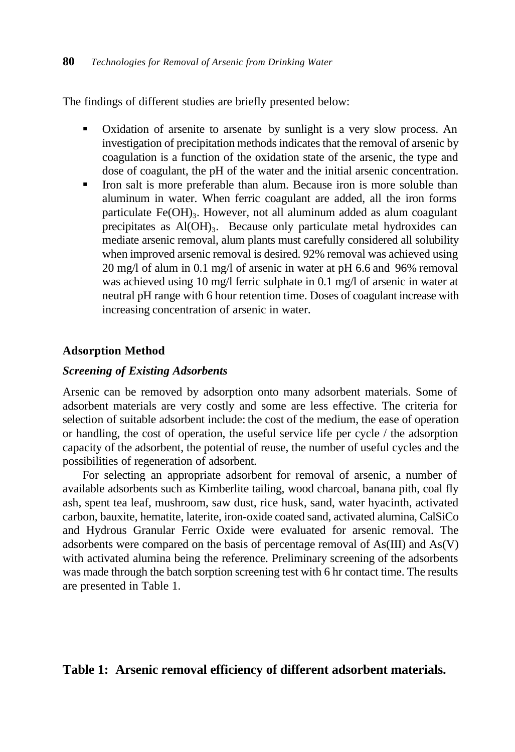The findings of different studies are briefly presented below:

- Oxidation of arsenite to arsenate by sunlight is a very slow process. An investigation of precipitation methods indicates that the removal of arsenic by coagulation is a function of the oxidation state of the arsenic, the type and dose of coagulant, the pH of the water and the initial arsenic concentration.
- Iron salt is more preferable than alum. Because iron is more soluble than aluminum in water. When ferric coagulant are added, all the iron forms particulate Fe(OH)<sub>3</sub>. However, not all aluminum added as alum coagulant precipitates as Al(OH)<sub>3</sub>. Because only particulate metal hydroxides can mediate arsenic removal, alum plants must carefully considered all solubility when improved arsenic removal is desired. 92% removal was achieved using 20 mg/l of alum in 0.1 mg/l of arsenic in water at pH 6.6 and 96% removal was achieved using 10 mg/l ferric sulphate in 0.1 mg/l of arsenic in water at neutral pH range with 6 hour retention time. Doses of coagulant increase with increasing concentration of arsenic in water.

## **Adsorption Method**

#### *Screening of Existing Adsorbents*

Arsenic can be removed by adsorption onto many adsorbent materials. Some of adsorbent materials are very costly and some are less effective. The criteria for selection of suitable adsorbent include: the cost of the medium, the ease of operation or handling, the cost of operation, the useful service life per cycle / the adsorption capacity of the adsorbent, the potential of reuse, the number of useful cycles and the possibilities of regeneration of adsorbent.

For selecting an appropriate adsorbent for removal of arsenic, a number of available adsorbents such as Kimberlite tailing, wood charcoal, banana pith, coal fly ash, spent tea leaf, mushroom, saw dust, rice husk, sand, water hyacinth, activated carbon, bauxite, hematite, laterite, iron-oxide coated sand, activated alumina, CalSiCo and Hydrous Granular Ferric Oxide were evaluated for arsenic removal. The adsorbents were compared on the basis of percentage removal of  $As(III)$  and  $As(V)$ with activated alumina being the reference. Preliminary screening of the adsorbents was made through the batch sorption screening test with 6 hr contact time. The results are presented in Table 1.

# **Table 1: Arsenic removal efficiency of different adsorbent materials.**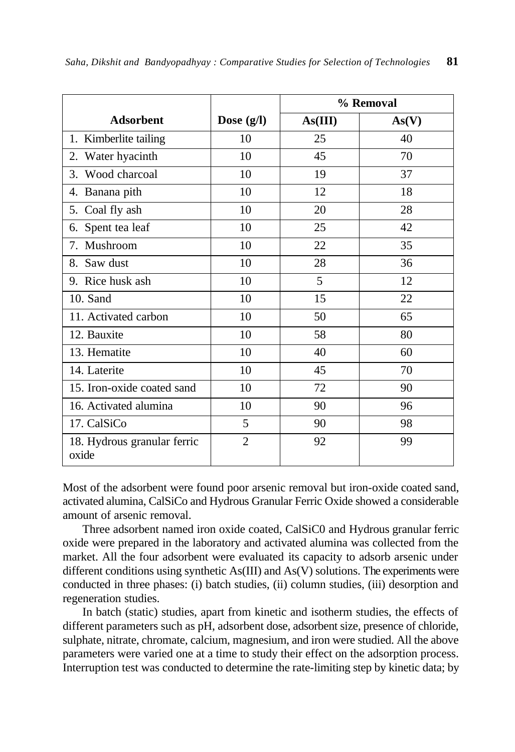|                                      |                | % Removal |       |
|--------------------------------------|----------------|-----------|-------|
| <b>Adsorbent</b>                     | Dose $(g/l)$   | As(III)   | As(V) |
| 1. Kimberlite tailing                | 10             | 25        | 40    |
| Water hyacinth<br>2.                 | 10             | 45        | 70    |
| 3. Wood charcoal                     | 10             | 19        | 37    |
| 4. Banana pith                       | 10             | 12        | 18    |
| 5. Coal fly ash                      | 10             | 20        | 28    |
| Spent tea leaf<br>6.                 | 10             | 25        | 42    |
| Mushroom<br>7.                       | 10             | 22        | 35    |
| 8. Saw dust                          | 10             | 28        | 36    |
| 9. Rice husk ash                     | 10             | 5         | 12    |
| 10. Sand                             | 10             | 15        | 22    |
| 11. Activated carbon                 | 10             | 50        | 65    |
| 12. Bauxite                          | 10             | 58        | 80    |
| 13. Hematite                         | 10             | 40        | 60    |
| 14. Laterite                         | 10             | 45        | 70    |
| 15. Iron-oxide coated sand           | 10             | 72        | 90    |
| 16. Activated alumina                | 10             | 90        | 96    |
| 17. CalSiCo                          | 5              | 90        | 98    |
| 18. Hydrous granular ferric<br>oxide | $\overline{2}$ | 92        | 99    |

Most of the adsorbent were found poor arsenic removal but iron-oxide coated sand, activated alumina, CalSiCo and Hydrous Granular Ferric Oxide showed a considerable amount of arsenic removal.

Three adsorbent named iron oxide coated, CalSiC0 and Hydrous granular ferric oxide were prepared in the laboratory and activated alumina was collected from the market. All the four adsorbent were evaluated its capacity to adsorb arsenic under different conditions using synthetic As(III) and As(V) solutions. The experiments were conducted in three phases: (i) batch studies, (ii) column studies, (iii) desorption and regeneration studies.

In batch (static) studies, apart from kinetic and isotherm studies, the effects of different parameters such as pH, adsorbent dose, adsorbent size, presence of chloride, sulphate, nitrate, chromate, calcium, magnesium, and iron were studied. All the above parameters were varied one at a time to study their effect on the adsorption process. Interruption test was conducted to determine the rate-limiting step by kinetic data; by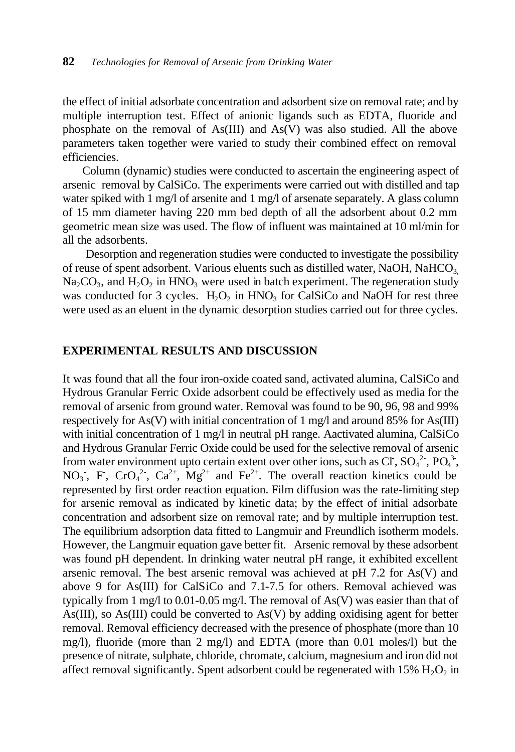the effect of initial adsorbate concentration and adsorbent size on removal rate; and by multiple interruption test. Effect of anionic ligands such as EDTA, fluoride and phosphate on the removal of As(III) and As(V) was also studied. All the above parameters taken together were varied to study their combined effect on removal efficiencies.

Column (dynamic) studies were conducted to ascertain the engineering aspect of arsenic removal by CalSiCo. The experiments were carried out with distilled and tap water spiked with 1 mg/l of arsenite and 1 mg/l of arsenate separately. A glass column of 15 mm diameter having 220 mm bed depth of all the adsorbent about 0.2 mm geometric mean size was used. The flow of influent was maintained at 10 ml/min for all the adsorbents.

Desorption and regeneration studies were conducted to investigate the possibility of reuse of spent adsorbent. Various eluents such as distilled water, NaOH, NaHCO<sub>3</sub>  $Na<sub>2</sub>CO<sub>3</sub>$ , and  $H<sub>2</sub>O<sub>2</sub>$  in HNO<sub>3</sub> were used in batch experiment. The regeneration study was conducted for 3 cycles.  $H_2O_2$  in  $HNO_3$  for CalSiCo and NaOH for rest three were used as an eluent in the dynamic desorption studies carried out for three cycles.

## **EXPERIMENTAL RESULTS AND DISCUSSION**

It was found that all the four iron-oxide coated sand, activated alumina, CalSiCo and Hydrous Granular Ferric Oxide adsorbent could be effectively used as media for the removal of arsenic from ground water. Removal was found to be 90, 96, 98 and 99% respectively for As(V) with initial concentration of 1 mg/l and around 85% for As(III) with initial concentration of 1 mg/l in neutral pH range. Aactivated alumina, CalSiCo and Hydrous Granular Ferric Oxide could be used for the selective removal of arsenic from water environment upto certain extent over other ions, such as Cl,  $SO_4^2$ ,  $PO_4^3$ , NO<sub>3</sub>, F, CrO<sub>4</sub><sup>2</sup>, Ca<sup>2+</sup>, Mg<sup>2+</sup> and Fe<sup>2+</sup>. The overall reaction kinetics could be represented by first order reaction equation. Film diffusion was the rate-limiting step for arsenic removal as indicated by kinetic data; by the effect of initial adsorbate concentration and adsorbent size on removal rate; and by multiple interruption test. The equilibrium adsorption data fitted to Langmuir and Freundlich isotherm models. However, the Langmuir equation gave better fit. Arsenic removal by these adsorbent was found pH dependent. In drinking water neutral pH range, it exhibited excellent arsenic removal. The best arsenic removal was achieved at  $pH$  7.2 for As(V) and above 9 for As(III) for CalSiCo and 7.1-7.5 for others. Removal achieved was typically from 1 mg/l to 0.01-0.05 mg/l. The removal of As(V) was easier than that of As(III), so As(III) could be converted to As(V) by adding oxidising agent for better removal. Removal efficiency decreased with the presence of phosphate (more than 10 mg/l), fluoride (more than 2 mg/l) and EDTA (more than 0.01 moles/l) but the presence of nitrate, sulphate, chloride, chromate, calcium, magnesium and iron did not affect removal significantly. Spent adsorbent could be regenerated with  $15\% \text{ H}_2\text{O}_2$  in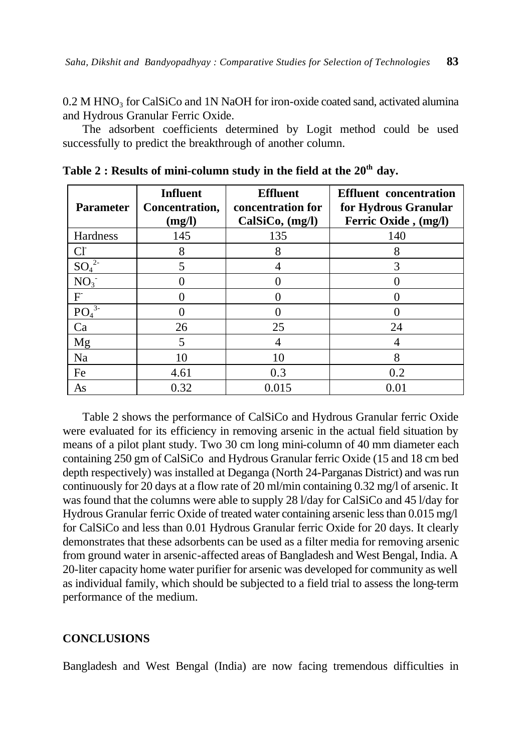$0.2$  M HNO<sub>3</sub> for CalSiCo and 1N NaOH for iron-oxide coated sand, activated alumina and Hydrous Granular Ferric Oxide.

The adsorbent coefficients determined by Logit method could be used successfully to predict the breakthrough of another column.

| <b>Parameter</b>             | <b>Influent</b><br>Concentration,<br>(mg/l) | <b>Effluent</b><br>concentration for<br>CalSiCo, (mg/l) | <b>Effluent</b> concentration<br>for Hydrous Granular<br>Ferric Oxide, (mg/l) |
|------------------------------|---------------------------------------------|---------------------------------------------------------|-------------------------------------------------------------------------------|
| Hardness                     | 145                                         | 135                                                     | 140                                                                           |
| <b>C</b>                     | 8                                           | 8                                                       | 8                                                                             |
| $SO_4^2$                     | 5                                           |                                                         |                                                                               |
| NO <sub>3</sub>              |                                             |                                                         |                                                                               |
| F                            |                                             |                                                         |                                                                               |
| PO <sub>4</sub> <sup>3</sup> |                                             |                                                         |                                                                               |
| Ca                           | 26                                          | 25                                                      | 24                                                                            |
| Mg                           | 5                                           | 4                                                       | 4                                                                             |
| Na                           | 10                                          | 10                                                      | 8                                                                             |
| Fe                           | 4.61                                        | 0.3                                                     | 0.2                                                                           |
| As                           | 0.32                                        | 0.015                                                   | 0.01                                                                          |

| Table 2 : Results of mini-column study in the field at the $20^{\rm th}$ day. |  |  |
|-------------------------------------------------------------------------------|--|--|
|-------------------------------------------------------------------------------|--|--|

Table 2 shows the performance of CalSiCo and Hydrous Granular ferric Oxide were evaluated for its efficiency in removing arsenic in the actual field situation by means of a pilot plant study. Two 30 cm long mini-column of 40 mm diameter each containing 250 gm of CalSiCo and Hydrous Granular ferric Oxide (15 and 18 cm bed depth respectively) was installed at Deganga (North 24-Parganas District) and was run continuously for 20 days at a flow rate of 20 ml/min containing 0.32 mg/l of arsenic. It was found that the columns were able to supply 28 l/day for CalSiCo and 45 l/day for Hydrous Granular ferric Oxide of treated water containing arsenic less than 0.015 mg/l for CalSiCo and less than 0.01 Hydrous Granular ferric Oxide for 20 days. It clearly demonstrates that these adsorbents can be used as a filter media for removing arsenic from ground water in arsenic-affected areas of Bangladesh and West Bengal, India. A 20-liter capacity home water purifier for arsenic was developed for community as well as individual family, which should be subjected to a field trial to assess the long-term performance of the medium.

#### **CONCLUSIONS**

Bangladesh and West Bengal (India) are now facing tremendous difficulties in